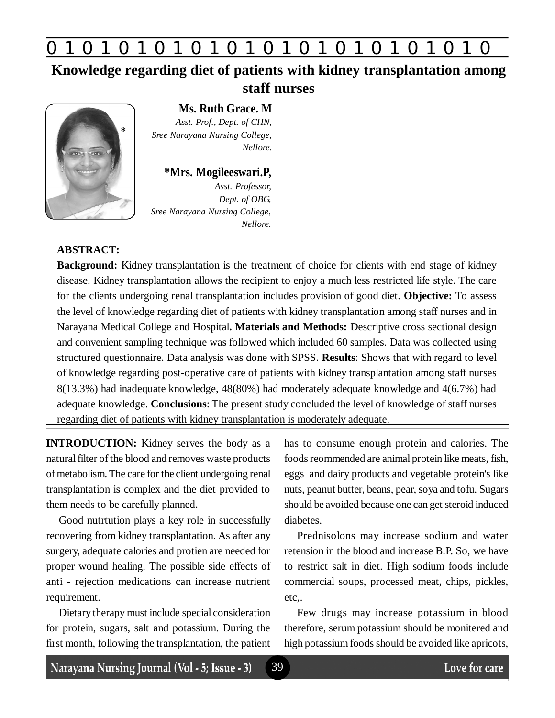## **0 z 0 z 0 z 0 z 0 z 0 z 0 z 0 z 0 z 0 z 0 z 0 z 0**

## **Knowledge regarding diet of patients with kidney transplantation among staff nurses**



**Ms. Ruth Grace. M** *Asst. Prof., Dept. of CHN, Sree Narayana Nursing College, Nellore.*

### **\*Mrs. Mogileeswari.P,**

*Asst. Professor, Dept. of OBG, Sree Narayana Nursing College, Nellore.*

### **ABSTRACT:**

**Background:** Kidney transplantation is the treatment of choice for clients with end stage of kidney disease. Kidney transplantation allows the recipient to enjoy a much less restricted life style. The care for the clients undergoing renal transplantation includes provision of good diet. **Objective:** To assess the level of knowledge regarding diet of patients with kidney transplantation among staff nurses and in Narayana Medical College and Hospital**. Materials and Methods:** Descriptive cross sectional design and convenient sampling technique was followed which included 60 samples. Data was collected using structured questionnaire. Data analysis was done with SPSS. **Results**: Shows that with regard to level of knowledge regarding post-operative care of patients with kidney transplantation among staff nurses 8(13.3%) had inadequate knowledge, 48(80%) had moderately adequate knowledge and 4(6.7%) had adequate knowledge. **Conclusions**: The present study concluded the level of knowledge of staff nurses regarding diet of patients with kidney transplantation is moderately adequate.

39

**INTRODUCTION:** Kidney serves the body as a natural filter of the blood and removes waste products of metabolism. The care for the client undergoing renal transplantation is complex and the diet provided to them needs to be carefully planned.

Good nutrtution plays a key role in successfully recovering from kidney transplantation. As after any surgery, adequate calories and protien are needed for proper wound healing. The possible side effects of anti - rejection medications can increase nutrient requirement.

Dietary therapy must include special consideration for protein, sugars, salt and potassium. During the first month, following the transplantation, the patient

has to consume enough protein and calories. The foods reommended are animal protein like meats, fish, eggs and dairy products and vegetable protein's like nuts, peanut butter, beans, pear, soya and tofu. Sugars should be avoided because one can get steroid induced diabetes.

Prednisolons may increase sodium and water retension in the blood and increase B.P. So, we have to restrict salt in diet. High sodium foods include commercial soups, processed meat, chips, pickles, etc,.

Few drugs may increase potassium in blood therefore, serum potassium should be monitered and high potassium foods should be avoided like apricots,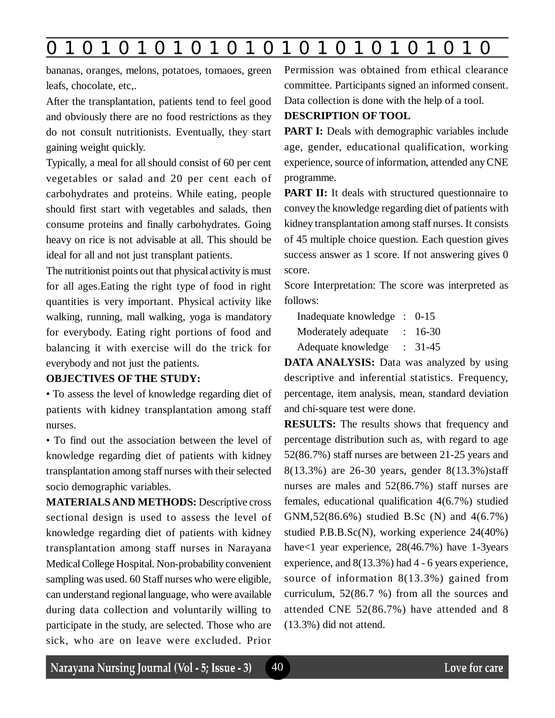## **0 z 0 z 0 z 0 z 0 z 0 z 0 z 0 z 0 z 0 z 0 z 0 z 0**

bananas, oranges, melons, potatoes, tomaoes, green leafs, chocolate, etc,.

After the transplantation, patients tend to feel good and obviously there are no food restrictions as they do not consult nutritionists. Eventually, they start gaining weight quickly.

Typically, a meal for all should consist of 60 per cent vegetables or salad and 20 per cent each of carbohydrates and proteins. While eating, people should first start with vegetables and salads, then consume proteins and finally carbohydrates. Going heavy on rice is not advisable at all. This should be ideal for all and not just transplant patients.

The nutritionist points out that physical activity is must for all ages.Eating the right type of food in right quantities is very important. Physical activity like walking, running, mall walking, yoga is mandatory for everybody. Eating right portions of food and balancing it with exercise will do the trick for everybody and not just the patients.

#### **OBJECTIVES OF THE STUDY:**

• To assess the level of knowledge regarding diet of patients with kidney transplantation among staff nurses.

• To find out the association between the level of knowledge regarding diet of patients with kidney transplantation among staff nurses with their selected socio demographic variables.

**MATERIALS AND METHODS:** Descriptive cross sectional design is used to assess the level of knowledge regarding diet of patients with kidney transplantation among staff nurses in Narayana Medical College Hospital. Non-probability convenient sampling was used. 60 Staff nurses who were eligible, can understand regional language, who were available during data collection and voluntarily willing to participate in the study, are selected. Those who are sick, who are on leave were excluded. Prior Permission was obtained from ethical clearance committee. Participants signed an informed consent. Data collection is done with the help of a tool.

#### **DESCRIPTION OF TOOL**

**PART I:** Deals with demographic variables include age, gender, educational qualification, working experience, source of information, attended any CNE programme.

**PART II:** It deals with structured questionnaire to convey the knowledge regarding diet of patients with kidney transplantation among staff nurses. It consists of 45 multiple choice question. Each question gives success answer as 1 score. If not answering gives 0 score.

Score Interpretation: The score was interpreted as follows:

Inadequate knowledge : 0-15 Moderately adequate : 16-30 Adequate knowledge : 31-45

**DATA ANALYSIS:** Data was analyzed by using descriptive and inferential statistics. Frequency, percentage, item analysis, mean, standard deviation and chi-square test were done.

**RESULTS:** The results shows that frequency and percentage distribution such as, with regard to age 52(86.7%) staff nurses are between 21-25 years and 8(13.3%) are 26-30 years, gender 8(13.3%)staff nurses are males and 52(86.7%) staff nurses are females, educational qualification 4(6.7%) studied GNM,52(86.6%) studied B.Sc (N) and 4(6.7%) studied P.B.B.Sc(N), working experience 24(40%) have<1 year experience, 28(46.7%) have 1-3years experience, and 8(13.3%) had 4 - 6 years experience, source of information 8(13.3%) gained from curriculum, 52(86.7 %) from all the sources and attended CNE 52(86.7%) have attended and 8 (13.3%) did not attend.

40